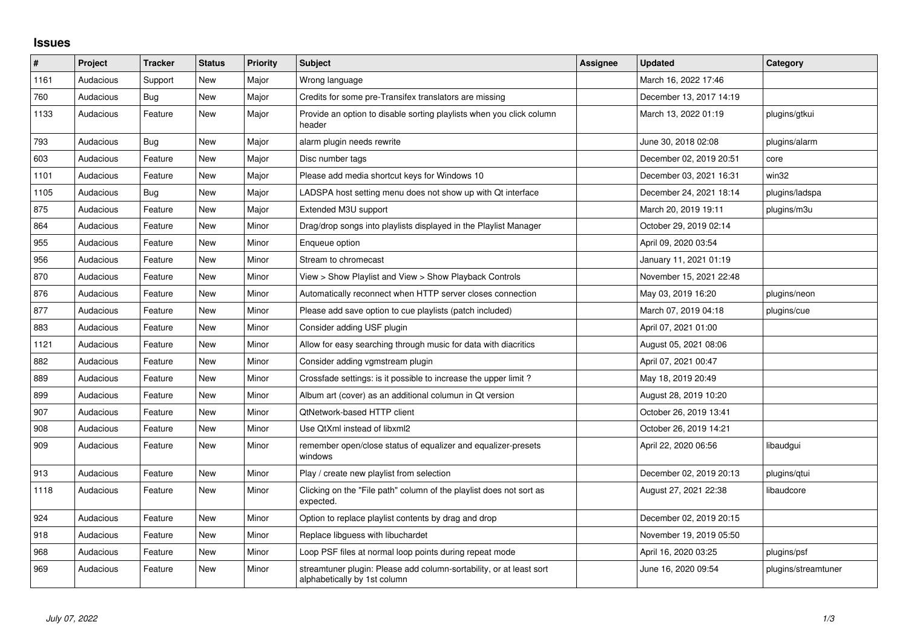## **Issues**

| #    | Project   | Tracker    | <b>Status</b> | <b>Priority</b> | <b>Subject</b>                                                                                      | Assignee | <b>Updated</b>          | Category            |
|------|-----------|------------|---------------|-----------------|-----------------------------------------------------------------------------------------------------|----------|-------------------------|---------------------|
| 1161 | Audacious | Support    | <b>New</b>    | Major           | Wrong language                                                                                      |          | March 16, 2022 17:46    |                     |
| 760  | Audacious | <b>Bug</b> | <b>New</b>    | Major           | Credits for some pre-Transifex translators are missing                                              |          | December 13, 2017 14:19 |                     |
| 1133 | Audacious | Feature    | <b>New</b>    | Major           | Provide an option to disable sorting playlists when you click column<br>header                      |          | March 13, 2022 01:19    | plugins/gtkui       |
| 793  | Audacious | Bug        | New           | Major           | alarm plugin needs rewrite                                                                          |          | June 30, 2018 02:08     | plugins/alarm       |
| 603  | Audacious | Feature    | New           | Major           | Disc number tags                                                                                    |          | December 02, 2019 20:51 | core                |
| 1101 | Audacious | Feature    | <b>New</b>    | Major           | Please add media shortcut keys for Windows 10                                                       |          | December 03, 2021 16:31 | win32               |
| 1105 | Audacious | Bug        | New           | Major           | LADSPA host setting menu does not show up with Qt interface                                         |          | December 24, 2021 18:14 | plugins/ladspa      |
| 875  | Audacious | Feature    | <b>New</b>    | Major           | Extended M3U support                                                                                |          | March 20, 2019 19:11    | plugins/m3u         |
| 864  | Audacious | Feature    | <b>New</b>    | Minor           | Drag/drop songs into playlists displayed in the Playlist Manager                                    |          | October 29, 2019 02:14  |                     |
| 955  | Audacious | Feature    | <b>New</b>    | Minor           | Enqueue option                                                                                      |          | April 09, 2020 03:54    |                     |
| 956  | Audacious | Feature    | <b>New</b>    | Minor           | Stream to chromecast                                                                                |          | January 11, 2021 01:19  |                     |
| 870  | Audacious | Feature    | New           | Minor           | View > Show Playlist and View > Show Playback Controls                                              |          | November 15, 2021 22:48 |                     |
| 876  | Audacious | Feature    | <b>New</b>    | Minor           | Automatically reconnect when HTTP server closes connection                                          |          | May 03, 2019 16:20      | plugins/neon        |
| 877  | Audacious | Feature    | <b>New</b>    | Minor           | Please add save option to cue playlists (patch included)                                            |          | March 07, 2019 04:18    | plugins/cue         |
| 883  | Audacious | Feature    | New           | Minor           | Consider adding USF plugin                                                                          |          | April 07, 2021 01:00    |                     |
| 1121 | Audacious | Feature    | <b>New</b>    | Minor           | Allow for easy searching through music for data with diacritics                                     |          | August 05, 2021 08:06   |                     |
| 882  | Audacious | Feature    | New           | Minor           | Consider adding vgmstream plugin                                                                    |          | April 07, 2021 00:47    |                     |
| 889  | Audacious | Feature    | <b>New</b>    | Minor           | Crossfade settings: is it possible to increase the upper limit?                                     |          | May 18, 2019 20:49      |                     |
| 899  | Audacious | Feature    | New           | Minor           | Album art (cover) as an additional columun in Qt version                                            |          | August 28, 2019 10:20   |                     |
| 907  | Audacious | Feature    | <b>New</b>    | Minor           | <b>QtNetwork-based HTTP client</b>                                                                  |          | October 26, 2019 13:41  |                     |
| 908  | Audacious | Feature    | New           | Minor           | Use QtXml instead of libxml2                                                                        |          | October 26, 2019 14:21  |                     |
| 909  | Audacious | Feature    | New           | Minor           | remember open/close status of equalizer and equalizer-presets<br>windows                            |          | April 22, 2020 06:56    | libaudgui           |
| 913  | Audacious | Feature    | <b>New</b>    | Minor           | Play / create new playlist from selection                                                           |          | December 02, 2019 20:13 | plugins/qtui        |
| 1118 | Audacious | Feature    | New           | Minor           | Clicking on the "File path" column of the playlist does not sort as<br>expected.                    |          | August 27, 2021 22:38   | libaudcore          |
| 924  | Audacious | Feature    | <b>New</b>    | Minor           | Option to replace playlist contents by drag and drop                                                |          | December 02, 2019 20:15 |                     |
| 918  | Audacious | Feature    | New           | Minor           | Replace libguess with libuchardet                                                                   |          | November 19, 2019 05:50 |                     |
| 968  | Audacious | Feature    | <b>New</b>    | Minor           | Loop PSF files at normal loop points during repeat mode                                             |          | April 16, 2020 03:25    | plugins/psf         |
| 969  | Audacious | Feature    | New           | Minor           | streamtuner plugin: Please add column-sortability, or at least sort<br>alphabetically by 1st column |          | June 16, 2020 09:54     | plugins/streamtuner |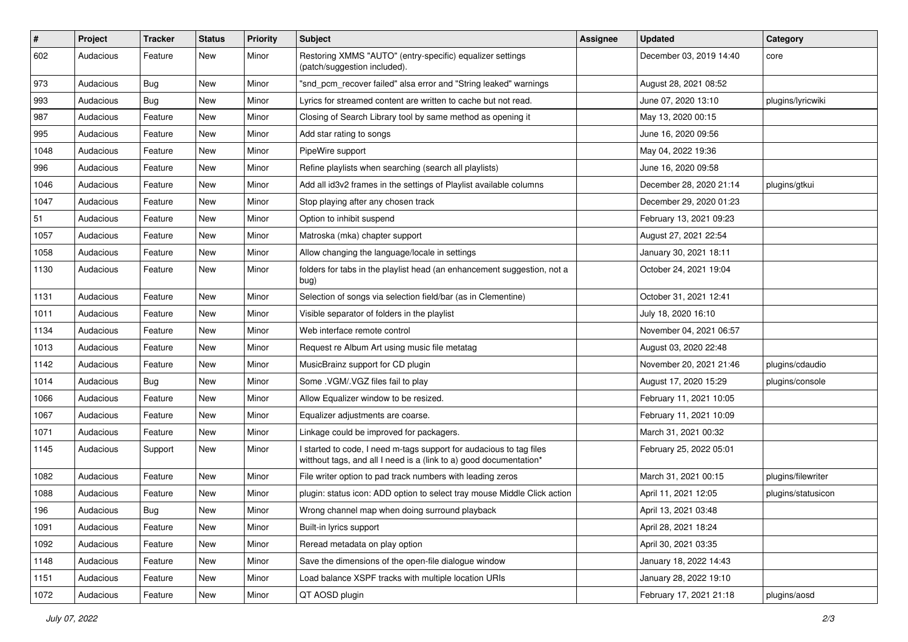| $\#$ | Project   | <b>Tracker</b> | <b>Status</b> | <b>Priority</b> | Subject                                                                                                                                   | <b>Assignee</b> | <b>Updated</b>          | Category           |
|------|-----------|----------------|---------------|-----------------|-------------------------------------------------------------------------------------------------------------------------------------------|-----------------|-------------------------|--------------------|
| 602  | Audacious | Feature        | New           | Minor           | Restoring XMMS "AUTO" (entry-specific) equalizer settings<br>(patch/suggestion included).                                                 |                 | December 03, 2019 14:40 | core               |
| 973  | Audacious | Bug            | New           | Minor           | "snd pcm recover failed" alsa error and "String leaked" warnings                                                                          |                 | August 28, 2021 08:52   |                    |
| 993  | Audacious | Bug            | New           | Minor           | Lyrics for streamed content are written to cache but not read.                                                                            |                 | June 07, 2020 13:10     | plugins/lyricwiki  |
| 987  | Audacious | Feature        | New           | Minor           | Closing of Search Library tool by same method as opening it                                                                               |                 | May 13, 2020 00:15      |                    |
| 995  | Audacious | Feature        | New           | Minor           | Add star rating to songs                                                                                                                  |                 | June 16, 2020 09:56     |                    |
| 1048 | Audacious | Feature        | New           | Minor           | PipeWire support                                                                                                                          |                 | May 04, 2022 19:36      |                    |
| 996  | Audacious | Feature        | New           | Minor           | Refine playlists when searching (search all playlists)                                                                                    |                 | June 16, 2020 09:58     |                    |
| 1046 | Audacious | Feature        | New           | Minor           | Add all id3v2 frames in the settings of Playlist available columns                                                                        |                 | December 28, 2020 21:14 | plugins/gtkui      |
| 1047 | Audacious | Feature        | <b>New</b>    | Minor           | Stop playing after any chosen track                                                                                                       |                 | December 29, 2020 01:23 |                    |
| 51   | Audacious | Feature        | New           | Minor           | Option to inhibit suspend                                                                                                                 |                 | February 13, 2021 09:23 |                    |
| 1057 | Audacious | Feature        | New           | Minor           | Matroska (mka) chapter support                                                                                                            |                 | August 27, 2021 22:54   |                    |
| 1058 | Audacious | Feature        | New           | Minor           | Allow changing the language/locale in settings                                                                                            |                 | January 30, 2021 18:11  |                    |
| 1130 | Audacious | Feature        | New           | Minor           | folders for tabs in the playlist head (an enhancement suggestion, not a<br>bug)                                                           |                 | October 24, 2021 19:04  |                    |
| 1131 | Audacious | Feature        | New           | Minor           | Selection of songs via selection field/bar (as in Clementine)                                                                             |                 | October 31, 2021 12:41  |                    |
| 1011 | Audacious | Feature        | New           | Minor           | Visible separator of folders in the playlist                                                                                              |                 | July 18, 2020 16:10     |                    |
| 1134 | Audacious | Feature        | New           | Minor           | Web interface remote control                                                                                                              |                 | November 04, 2021 06:57 |                    |
| 1013 | Audacious | Feature        | New           | Minor           | Request re Album Art using music file metatag                                                                                             |                 | August 03, 2020 22:48   |                    |
| 1142 | Audacious | Feature        | New           | Minor           | MusicBrainz support for CD plugin                                                                                                         |                 | November 20, 2021 21:46 | plugins/cdaudio    |
| 1014 | Audacious | Bug            | New           | Minor           | Some .VGM/.VGZ files fail to play                                                                                                         |                 | August 17, 2020 15:29   | plugins/console    |
| 1066 | Audacious | Feature        | New           | Minor           | Allow Equalizer window to be resized.                                                                                                     |                 | February 11, 2021 10:05 |                    |
| 1067 | Audacious | Feature        | New           | Minor           | Equalizer adjustments are coarse.                                                                                                         |                 | February 11, 2021 10:09 |                    |
| 1071 | Audacious | Feature        | New           | Minor           | Linkage could be improved for packagers.                                                                                                  |                 | March 31, 2021 00:32    |                    |
| 1145 | Audacious | Support        | New           | Minor           | I started to code, I need m-tags support for audacious to tag files<br>witthout tags, and all I need is a (link to a) good documentation* |                 | February 25, 2022 05:01 |                    |
| 1082 | Audacious | Feature        | New           | Minor           | File writer option to pad track numbers with leading zeros                                                                                |                 | March 31, 2021 00:15    | plugins/filewriter |
| 1088 | Audacious | Feature        | New           | Minor           | plugin: status icon: ADD option to select tray mouse Middle Click action                                                                  |                 | April 11, 2021 12:05    | plugins/statusicon |
| 196  | Audacious | Bug            | New           | Minor           | Wrong channel map when doing surround playback                                                                                            |                 | April 13, 2021 03:48    |                    |
| 1091 | Audacious | Feature        | New           | Minor           | Built-in lyrics support                                                                                                                   |                 | April 28, 2021 18:24    |                    |
| 1092 | Audacious | Feature        | New           | Minor           | Reread metadata on play option                                                                                                            |                 | April 30, 2021 03:35    |                    |
| 1148 | Audacious | Feature        | New           | Minor           | Save the dimensions of the open-file dialogue window                                                                                      |                 | January 18, 2022 14:43  |                    |
| 1151 | Audacious | Feature        | New           | Minor           | Load balance XSPF tracks with multiple location URIs                                                                                      |                 | January 28, 2022 19:10  |                    |
| 1072 | Audacious | Feature        | New           | Minor           | QT AOSD plugin                                                                                                                            |                 | February 17, 2021 21:18 | plugins/aosd       |